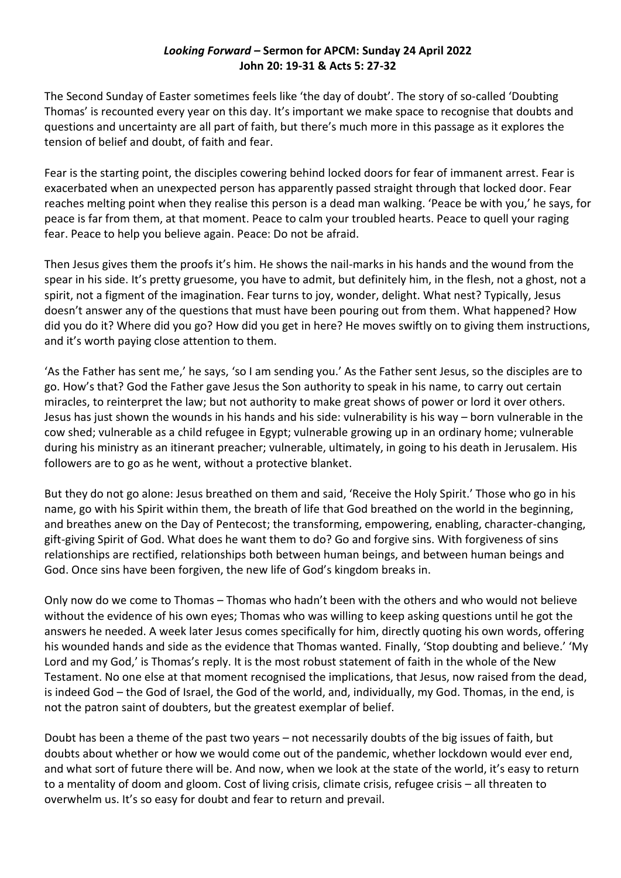## *Looking Forward –* **Sermon for APCM: Sunday 24 April 2022 John 20: 19-31 & Acts 5: 27-32**

The Second Sunday of Easter sometimes feels like 'the day of doubt'. The story of so-called 'Doubting Thomas' is recounted every year on this day. It's important we make space to recognise that doubts and questions and uncertainty are all part of faith, but there's much more in this passage as it explores the tension of belief and doubt, of faith and fear.

Fear is the starting point, the disciples cowering behind locked doors for fear of immanent arrest. Fear is exacerbated when an unexpected person has apparently passed straight through that locked door. Fear reaches melting point when they realise this person is a dead man walking. 'Peace be with you,' he says, for peace is far from them, at that moment. Peace to calm your troubled hearts. Peace to quell your raging fear. Peace to help you believe again. Peace: Do not be afraid.

Then Jesus gives them the proofs it's him. He shows the nail-marks in his hands and the wound from the spear in his side. It's pretty gruesome, you have to admit, but definitely him, in the flesh, not a ghost, not a spirit, not a figment of the imagination. Fear turns to joy, wonder, delight. What nest? Typically, Jesus doesn't answer any of the questions that must have been pouring out from them. What happened? How did you do it? Where did you go? How did you get in here? He moves swiftly on to giving them instructions, and it's worth paying close attention to them.

'As the Father has sent me,' he says, 'so I am sending you.' As the Father sent Jesus, so the disciples are to go. How's that? God the Father gave Jesus the Son authority to speak in his name, to carry out certain miracles, to reinterpret the law; but not authority to make great shows of power or lord it over others. Jesus has just shown the wounds in his hands and his side: vulnerability is his way – born vulnerable in the cow shed; vulnerable as a child refugee in Egypt; vulnerable growing up in an ordinary home; vulnerable during his ministry as an itinerant preacher; vulnerable, ultimately, in going to his death in Jerusalem. His followers are to go as he went, without a protective blanket.

But they do not go alone: Jesus breathed on them and said, 'Receive the Holy Spirit.' Those who go in his name, go with his Spirit within them, the breath of life that God breathed on the world in the beginning, and breathes anew on the Day of Pentecost; the transforming, empowering, enabling, character-changing, gift-giving Spirit of God. What does he want them to do? Go and forgive sins. With forgiveness of sins relationships are rectified, relationships both between human beings, and between human beings and God. Once sins have been forgiven, the new life of God's kingdom breaks in.

Only now do we come to Thomas – Thomas who hadn't been with the others and who would not believe without the evidence of his own eyes; Thomas who was willing to keep asking questions until he got the answers he needed. A week later Jesus comes specifically for him, directly quoting his own words, offering his wounded hands and side as the evidence that Thomas wanted. Finally, 'Stop doubting and believe.' 'My Lord and my God,' is Thomas's reply. It is the most robust statement of faith in the whole of the New Testament. No one else at that moment recognised the implications, that Jesus, now raised from the dead, is indeed God – the God of Israel, the God of the world, and, individually, my God. Thomas, in the end, is not the patron saint of doubters, but the greatest exemplar of belief.

Doubt has been a theme of the past two years – not necessarily doubts of the big issues of faith, but doubts about whether or how we would come out of the pandemic, whether lockdown would ever end, and what sort of future there will be. And now, when we look at the state of the world, it's easy to return to a mentality of doom and gloom. Cost of living crisis, climate crisis, refugee crisis – all threaten to overwhelm us. It's so easy for doubt and fear to return and prevail.